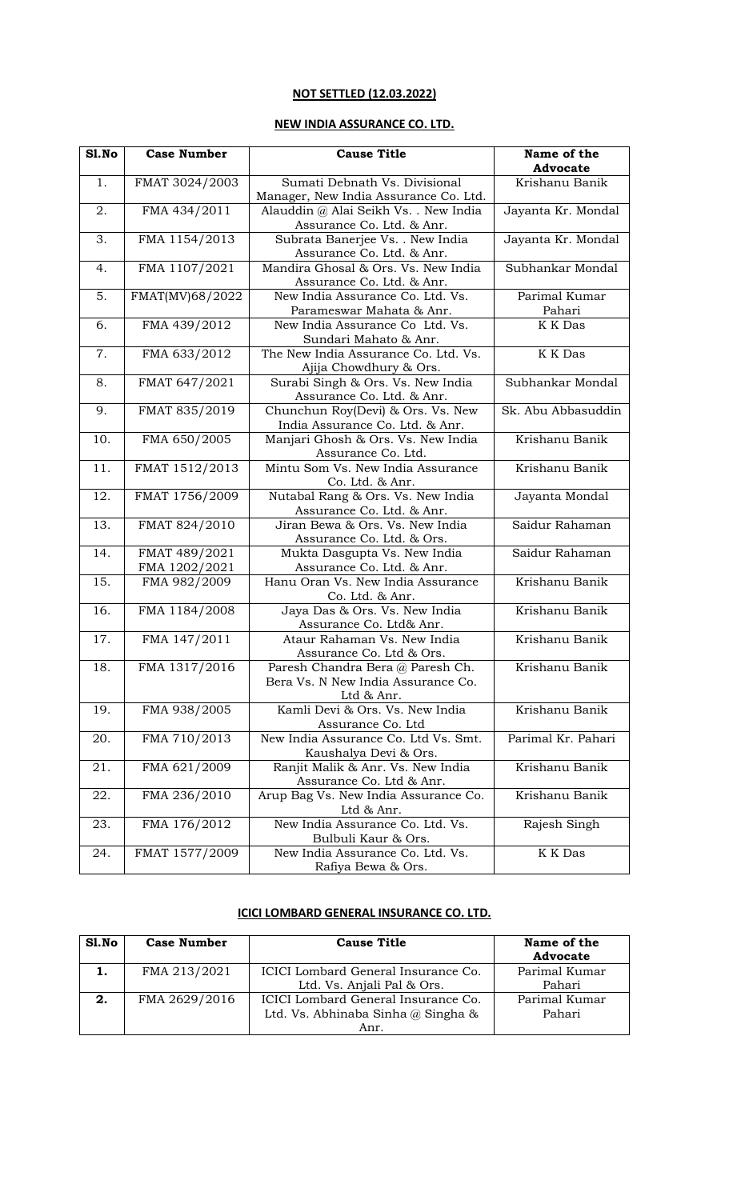# **NOT SETTLED (12.03.2022)**

## **NEW INDIA ASSURANCE CO. LTD.**

| S1.No | <b>Case Number</b>             | <b>Cause Title</b>                                                                   | Name of the             |
|-------|--------------------------------|--------------------------------------------------------------------------------------|-------------------------|
|       |                                |                                                                                      | <b>Advocate</b>         |
| 1.    | FMAT 3024/2003                 | Sumati Debnath Vs. Divisional<br>Manager, New India Assurance Co. Ltd.               | Krishanu Banik          |
| 2.    | FMA 434/2011                   | Alauddin @ Alai Seikh Vs. . New India<br>Assurance Co. Ltd. & Anr.                   | Jayanta Kr. Mondal      |
| 3.    | FMA 1154/2013                  | Subrata Banerjee Vs. . New India<br>Assurance Co. Ltd. & Anr.                        | Jayanta Kr. Mondal      |
| 4.    | FMA 1107/2021                  | Mandira Ghosal & Ors. Vs. New India<br>Assurance Co. Ltd. & Anr.                     | Subhankar Mondal        |
| 5.    | FMAT(MV)68/2022                | New India Assurance Co. Ltd. Vs.<br>Parameswar Mahata & Anr.                         | Parimal Kumar<br>Pahari |
| 6.    | FMA 439/2012                   | New India Assurance Co Ltd. Vs.<br>Sundari Mahato & Anr.                             | K K Das                 |
| 7.    | FMA 633/2012                   | The New India Assurance Co. Ltd. Vs.<br>Ajija Chowdhury & Ors.                       | K K Das                 |
| 8.    | FMAT 647/2021                  | Surabi Singh & Ors. Vs. New India<br>Assurance Co. Ltd. & Anr.                       | Subhankar Mondal        |
| 9.    | FMAT 835/2019                  | Chunchun Roy(Devi) & Ors. Vs. New<br>India Assurance Co. Ltd. & Anr.                 | Sk. Abu Abbasuddin      |
| 10.   | FMA 650/2005                   | Manjari Ghosh & Ors. Vs. New India<br>Assurance Co. Ltd.                             | Krishanu Banik          |
| 11.   | FMAT 1512/2013                 | Mintu Som Vs. New India Assurance<br>Co. Ltd. & Anr.                                 | Krishanu Banik          |
| 12.   | FMAT 1756/2009                 | Nutabal Rang & Ors. Vs. New India<br>Assurance Co. Ltd. & Anr.                       | Jayanta Mondal          |
| 13.   | FMAT 824/2010                  | Jiran Bewa & Ors. Vs. New India<br>Assurance Co. Ltd. & Ors.                         | Saidur Rahaman          |
| 14.   | FMAT 489/2021<br>FMA 1202/2021 | Mukta Dasgupta Vs. New India<br>Assurance Co. Ltd. & Anr.                            | Saidur Rahaman          |
| 15.   | FMA 982/2009                   | Hanu Oran Vs. New India Assurance<br>Co. Ltd. & Anr.                                 | Krishanu Banik          |
| 16.   | FMA 1184/2008                  | Jaya Das & Ors. Vs. New India<br>Assurance Co. Ltd& Anr.                             | Krishanu Banik          |
| 17.   | FMA 147/2011                   | Ataur Rahaman Vs. New India<br>Assurance Co. Ltd & Ors.                              | Krishanu Banik          |
| 18.   | FMA 1317/2016                  | Paresh Chandra Bera @ Paresh Ch.<br>Bera Vs. N New India Assurance Co.<br>Ltd & Anr. | Krishanu Banik          |
| 19.   | FMA 938/2005                   | Kamli Devi & Ors. Vs. New India<br>Assurance Co. Ltd                                 | Krishanu Banik          |
| 20.   | FMA 710/2013                   | New India Assurance Co. Ltd Vs. Smt.<br>Kaushalya Devi & Ors.                        | Parimal Kr. Pahari      |
| 21.   | FMA 621/2009                   | Ranjit Malik & Anr. Vs. New India<br>Assurance Co. Ltd & Anr.                        | Krishanu Banik          |
| 22.   | FMA 236/2010                   | Arup Bag Vs. New India Assurance Co.<br>Ltd & Anr.                                   | Krishanu Banik          |
| 23.   | FMA 176/2012                   | New India Assurance Co. Ltd. Vs.<br>Bulbuli Kaur & Ors.                              | Rajesh Singh            |
| 24.   | FMAT 1577/2009                 | New India Assurance Co. Ltd. Vs.<br>Rafiya Bewa & Ors.                               | K K Das                 |

# **ICICI LOMBARD GENERAL INSURANCE CO. LTD.**

| Sl.No | <b>Case Number</b> | <b>Cause Title</b>                   | Name of the<br><b>Advocate</b> |
|-------|--------------------|--------------------------------------|--------------------------------|
| 1.    | FMA 213/2021       | ICICI Lombard General Insurance Co.  | Parimal Kumar                  |
|       |                    | Ltd. Vs. Anjali Pal & Ors.           | Pahari                         |
| 2.    | FMA 2629/2016      | ICICI Lombard General Insurance Co.  | Parimal Kumar                  |
|       |                    | Ltd. Vs. Abhinaba Sinha $@$ Singha & | Pahari                         |
|       |                    | Anr.                                 |                                |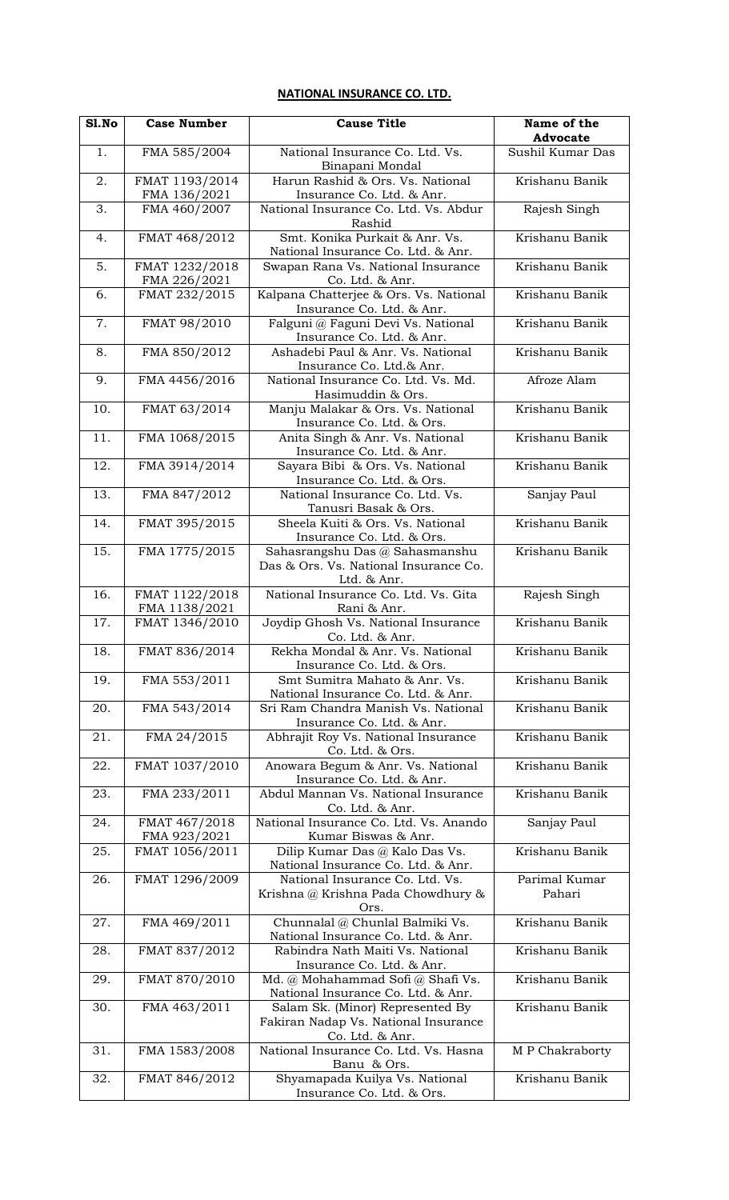## **NATIONAL INSURANCE CO. LTD.**

| S1.No | <b>Case Number</b>              | <b>Cause Title</b>                                                                          | Name of the<br><b>Advocate</b> |
|-------|---------------------------------|---------------------------------------------------------------------------------------------|--------------------------------|
| 1.    | FMA 585/2004                    | National Insurance Co. Ltd. Vs.                                                             | Sushil Kumar Das               |
|       |                                 | Binapani Mondal                                                                             |                                |
| 2.    | FMAT 1193/2014<br>FMA 136/2021  | Harun Rashid & Ors. Vs. National<br>Insurance Co. Ltd. & Anr.                               | Krishanu Banik                 |
| 3.    | FMA 460/2007                    | National Insurance Co. Ltd. Vs. Abdur<br>Rashid                                             | Rajesh Singh                   |
| 4.    | FMAT 468/2012                   | Smt. Konika Purkait & Anr. Vs.<br>National Insurance Co. Ltd. & Anr.                        | Krishanu Banik                 |
| 5.    | FMAT 1232/2018<br>FMA 226/2021  | Swapan Rana Vs. National Insurance<br>Co. Ltd. & Anr.                                       | Krishanu Banik                 |
| 6.    | FMAT 232/2015                   | Kalpana Chatterjee & Ors. Vs. National<br>Insurance Co. Ltd. & Anr.                         | Krishanu Banik                 |
| 7.    | FMAT 98/2010                    | Falguni @ Faguni Devi Vs. National<br>Insurance Co. Ltd. & Anr.                             | Krishanu Banik                 |
| 8.    | FMA 850/2012                    | Ashadebi Paul & Anr. Vs. National<br>Insurance Co. Ltd.& Anr.                               | Krishanu Banik                 |
| 9.    | FMA 4456/2016                   | National Insurance Co. Ltd. Vs. Md.<br>Hasimuddin & Ors.                                    | Afroze Alam                    |
| 10.   | FMAT 63/2014                    | Manju Malakar & Ors. Vs. National<br>Insurance Co. Ltd. & Ors.                              | Krishanu Banik                 |
| 11.   | FMA 1068/2015                   | Anita Singh & Anr. Vs. National<br>Insurance Co. Ltd. & Anr.                                | Krishanu Banik                 |
| 12.   | FMA 3914/2014                   | Sayara Bibi & Ors. Vs. National<br>Insurance Co. Ltd. & Ors.                                | Krishanu Banik                 |
| 13.   | FMA 847/2012                    | National Insurance Co. Ltd. Vs.<br>Tanusri Basak & Ors.                                     | Sanjay Paul                    |
| 14.   | FMAT 395/2015                   | Sheela Kuiti & Ors. Vs. National<br>Insurance Co. Ltd. & Ors.                               | Krishanu Banik                 |
| 15.   | FMA 1775/2015                   | Sahasrangshu Das @ Sahasmanshu<br>Das & Ors. Vs. National Insurance Co.<br>Ltd. & Anr.      | Krishanu Banik                 |
| 16.   | FMAT 1122/2018<br>FMA 1138/2021 | National Insurance Co. Ltd. Vs. Gita<br>Rani & Anr.                                         | Rajesh Singh                   |
| 17.   | FMAT 1346/2010                  | Joydip Ghosh Vs. National Insurance<br>Co. Ltd. & Anr.                                      | Krishanu Banik                 |
| 18.   | FMAT 836/2014                   | Rekha Mondal & Anr. Vs. National<br>Insurance Co. Ltd. & Ors.                               | Krishanu Banik                 |
| 19.   | FMA 553/2011                    | Smt Sumitra Mahato & Anr. Vs.<br>National Insurance Co. Ltd. & Anr.                         | Krishanu Banik                 |
| 20.   | FMA 543/2014                    | Sri Ram Chandra Manish Vs. National<br>Insurance Co. Ltd. & Anr.                            | Krishanu Banik                 |
| 21.   | FMA 24/2015                     | Abhrajit Roy Vs. National Insurance<br>Co. Ltd. & Ors.                                      | Krishanu Banik                 |
| 22.   | FMAT 1037/2010                  | Anowara Begum & Anr. Vs. National<br>Insurance Co. Ltd. & Anr.                              | Krishanu Banik                 |
| 23.   | FMA 233/2011                    | Abdul Mannan Vs. National Insurance<br>Co. Ltd. & Anr.                                      | Krishanu Banik                 |
| 24.   | FMAT 467/2018<br>FMA 923/2021   | National Insurance Co. Ltd. Vs. Anando<br>Kumar Biswas & Anr.                               | Sanjay Paul                    |
| 25.   | FMAT 1056/2011                  | Dilip Kumar Das @ Kalo Das Vs.<br>National Insurance Co. Ltd. & Anr.                        | Krishanu Banik                 |
| 26.   | FMAT 1296/2009                  | National Insurance Co. Ltd. Vs.<br>Krishna @ Krishna Pada Chowdhury &<br>Ors.               | Parimal Kumar<br>Pahari        |
| 27.   | FMA 469/2011                    | Chunnalal @ Chunlal Balmiki Vs.<br>National Insurance Co. Ltd. & Anr.                       | Krishanu Banik                 |
| 28.   | FMAT 837/2012                   | Rabindra Nath Maiti Vs. National<br>Insurance Co. Ltd. & Anr.                               | Krishanu Banik                 |
| 29.   | FMAT 870/2010                   | Md. @ Mohahammad Sofi @ Shafi Vs.<br>National Insurance Co. Ltd. & Anr.                     | Krishanu Banik                 |
| 30.   | FMA 463/2011                    | Salam Sk. (Minor) Represented By<br>Fakiran Nadap Vs. National Insurance<br>Co. Ltd. & Anr. | Krishanu Banik                 |
| 31.   | FMA 1583/2008                   | National Insurance Co. Ltd. Vs. Hasna<br>Banu & Ors.                                        | M P Chakraborty                |
| 32.   | FMAT 846/2012                   | Shyamapada Kuilya Vs. National<br>Insurance Co. Ltd. & Ors.                                 | Krishanu Banik                 |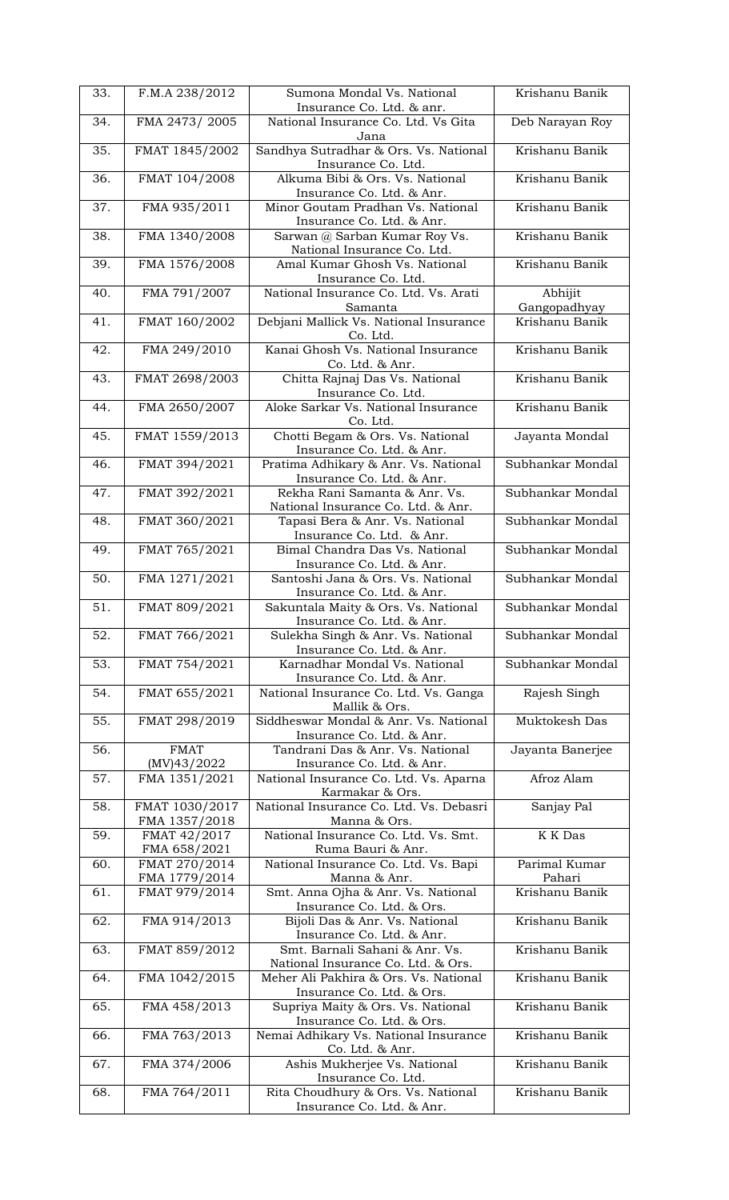| 33. | F.M.A 238/2012               | Sumona Mondal Vs. National<br>Insurance Co. Ltd. & anr.            | Krishanu Banik   |
|-----|------------------------------|--------------------------------------------------------------------|------------------|
| 34. | FMA 2473/2005                | National Insurance Co. Ltd. Vs Gita                                | Deb Narayan Roy  |
|     |                              | Jana                                                               |                  |
| 35. | FMAT 1845/2002               | Sandhya Sutradhar & Ors. Vs. National                              | Krishanu Banik   |
|     |                              | Insurance Co. Ltd.                                                 |                  |
| 36. | FMAT 104/2008                | Alkuma Bibi & Ors. Vs. National                                    | Krishanu Banik   |
|     |                              | Insurance Co. Ltd. & Anr.                                          |                  |
| 37. | FMA 935/2011                 | Minor Goutam Pradhan Vs. National                                  | Krishanu Banik   |
|     |                              | Insurance Co. Ltd. & Anr.                                          |                  |
| 38. | FMA 1340/2008                | Sarwan @ Sarban Kumar Roy Vs.<br>National Insurance Co. Ltd.       | Krishanu Banik   |
| 39. | FMA 1576/2008                | Amal Kumar Ghosh Vs. National                                      | Krishanu Banik   |
|     |                              | Insurance Co. Ltd.                                                 |                  |
| 40. | FMA 791/2007                 | National Insurance Co. Ltd. Vs. Arati                              | Abhijit          |
|     |                              | Samanta                                                            | Gangopadhyay     |
| 41. | FMAT 160/2002                | Debjani Mallick Vs. National Insurance                             | Krishanu Banik   |
|     |                              | Co. Ltd.                                                           |                  |
| 42. | FMA 249/2010                 | Kanai Ghosh Vs. National Insurance                                 | Krishanu Banik   |
|     |                              | Co. Ltd. & Anr.                                                    |                  |
| 43. | FMAT 2698/2003               | Chitta Rajnaj Das Vs. National                                     | Krishanu Banik   |
|     |                              | Insurance Co. Ltd.                                                 |                  |
| 44. | FMA 2650/2007                | Aloke Sarkar Vs. National Insurance                                | Krishanu Banik   |
| 45. | FMAT 1559/2013               | Co. Ltd.<br>Chotti Begam & Ors. Vs. National                       |                  |
|     |                              | Insurance Co. Ltd. & Anr.                                          | Jayanta Mondal   |
| 46. | FMAT 394/2021                | Pratima Adhikary & Anr. Vs. National                               | Subhankar Mondal |
|     |                              | Insurance Co. Ltd. & Anr.                                          |                  |
| 47. | FMAT 392/2021                | Rekha Rani Samanta & Anr. Vs.                                      | Subhankar Mondal |
|     |                              | National Insurance Co. Ltd. & Anr.                                 |                  |
| 48. | FMAT 360/2021                | Tapasi Bera & Anr. Vs. National                                    | Subhankar Mondal |
|     |                              | Insurance Co. Ltd. & Anr.                                          |                  |
| 49. | FMAT 765/2021                | Bimal Chandra Das Vs. National                                     | Subhankar Mondal |
|     |                              | Insurance Co. Ltd. & Anr.                                          |                  |
| 50. | FMA 1271/2021                | Santoshi Jana & Ors. Vs. National                                  | Subhankar Mondal |
|     |                              | Insurance Co. Ltd. & Anr.                                          |                  |
| 51. | FMAT 809/2021                | Sakuntala Maity & Ors. Vs. National                                | Subhankar Mondal |
| 52. |                              | Insurance Co. Ltd. & Anr.                                          | Subhankar Mondal |
|     |                              |                                                                    |                  |
|     | FMAT 766/2021                | Sulekha Singh & Anr. Vs. National                                  |                  |
|     |                              | Insurance Co. Ltd. & Anr.                                          |                  |
| 53. | FMAT 754/2021                | Karnadhar Mondal Vs. National                                      | Subhankar Mondal |
| 54. | FMAT 655/2021                | Insurance Co. Ltd. & Anr.<br>National Insurance Co. Ltd. Vs. Ganga | Rajesh Singh     |
|     |                              | Mallik & Ors.                                                      |                  |
| 55. | FMAT 298/2019                | Siddheswar Mondal & Anr. Vs. National                              | Muktokesh Das    |
|     |                              | Insurance Co. Ltd. & Anr.                                          |                  |
| 56. | <b>FMAT</b>                  | Tandrani Das & Anr. Vs. National                                   | Jayanta Banerjee |
|     | (MV)43/2022                  | Insurance Co. Ltd. & Anr.                                          |                  |
| 57. | FMA 1351/2021                | National Insurance Co. Ltd. Vs. Aparna                             | Afroz Alam       |
|     |                              | Karmakar & Ors.                                                    |                  |
| 58. | FMAT 1030/2017               | National Insurance Co. Ltd. Vs. Debasri                            | Sanjay Pal       |
| 59. | FMA 1357/2018                | Manna & Ors.<br>National Insurance Co. Ltd. Vs. Smt.               | K K Das          |
|     | FMAT 42/2017<br>FMA 658/2021 | Ruma Bauri & Anr.                                                  |                  |
| 60. | FMAT 270/2014                | National Insurance Co. Ltd. Vs. Bapi                               | Parimal Kumar    |
|     | FMA 1779/2014                | Manna & Anr.                                                       | Pahari           |
| 61. | FMAT 979/2014                | Smt. Anna Ojha & Anr. Vs. National                                 | Krishanu Banik   |
|     |                              | Insurance Co. Ltd. & Ors.                                          |                  |
| 62. | FMA 914/2013                 | Bijoli Das & Anr. Vs. National                                     | Krishanu Banik   |
|     |                              | Insurance Co. Ltd. & Anr.                                          |                  |
| 63. | FMAT 859/2012                | Smt. Barnali Sahani & Anr. Vs.                                     | Krishanu Banik   |
|     |                              | National Insurance Co. Ltd. & Ors.                                 |                  |
| 64. | FMA 1042/2015                | Meher Ali Pakhira & Ors. Vs. National                              | Krishanu Banik   |
|     |                              | Insurance Co. Ltd. & Ors.                                          |                  |
| 65. | FMA 458/2013                 | Supriya Maity & Ors. Vs. National                                  | Krishanu Banik   |
| 66. |                              | Insurance Co. Ltd. & Ors.                                          | Krishanu Banik   |
|     | FMA 763/2013                 | Nemai Adhikary Vs. National Insurance<br>Co. Ltd. & Anr.           |                  |
| 67. | FMA 374/2006                 | Ashis Mukherjee Vs. National                                       | Krishanu Banik   |
|     |                              | Insurance Co. Ltd.                                                 |                  |
| 68. | FMA 764/2011                 | Rita Choudhury & Ors. Vs. National<br>Insurance Co. Ltd. & Anr.    | Krishanu Banik   |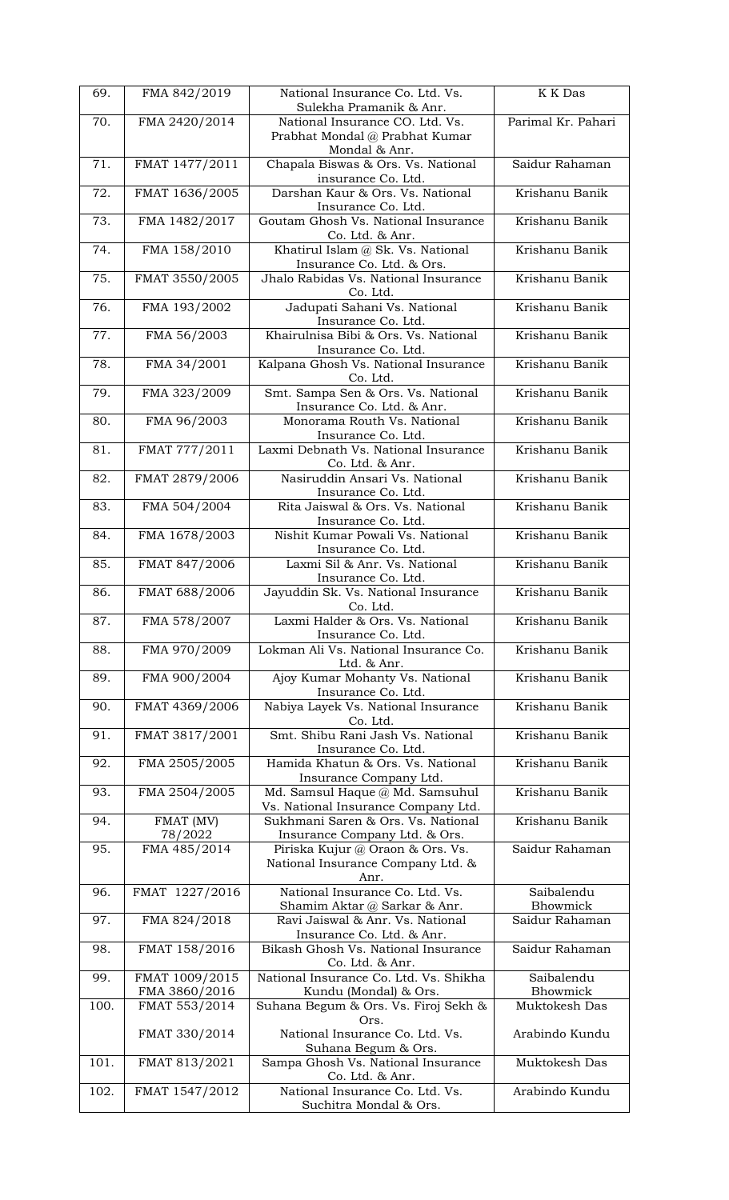| 69.  | FMA 842/2019                    | National Insurance Co. Ltd. Vs.<br>Sulekha Pramanik & Anr.                         | K K Das                |
|------|---------------------------------|------------------------------------------------------------------------------------|------------------------|
| 70.  | FMA 2420/2014                   | National Insurance CO. Ltd. Vs.<br>Prabhat Mondal @ Prabhat Kumar<br>Mondal & Anr. | Parimal Kr. Pahari     |
| 71.  | FMAT 1477/2011                  | Chapala Biswas & Ors. Vs. National<br>insurance Co. Ltd.                           | Saidur Rahaman         |
| 72.  | FMAT 1636/2005                  | Darshan Kaur & Ors. Vs. National<br>Insurance Co. Ltd.                             | Krishanu Banik         |
| 73.  | FMA 1482/2017                   | Goutam Ghosh Vs. National Insurance<br>Co. Ltd. & Anr.                             | Krishanu Banik         |
| 74.  | FMA 158/2010                    | Khatirul Islam @ Sk. Vs. National<br>Insurance Co. Ltd. & Ors.                     | Krishanu Banik         |
| 75.  | FMAT 3550/2005                  | Jhalo Rabidas Vs. National Insurance<br>Co. Ltd.                                   | Krishanu Banik         |
| 76.  | FMA 193/2002                    | Jadupati Sahani Vs. National<br>Insurance Co. Ltd.                                 | Krishanu Banik         |
| 77.  | FMA 56/2003                     | Khairulnisa Bibi & Ors. Vs. National<br>Insurance Co. Ltd.                         | Krishanu Banik         |
| 78.  | FMA 34/2001                     | Kalpana Ghosh Vs. National Insurance<br>Co. Ltd.                                   | Krishanu Banik         |
| 79.  | FMA 323/2009                    | Smt. Sampa Sen & Ors. Vs. National<br>Insurance Co. Ltd. & Anr.                    | Krishanu Banik         |
| 80.  | FMA 96/2003                     | Monorama Routh Vs. National<br>Insurance Co. Ltd.                                  | Krishanu Banik         |
| 81.  | FMAT 777/2011                   | Laxmi Debnath Vs. National Insurance<br>Co. Ltd. & Anr.                            | Krishanu Banik         |
| 82.  | FMAT 2879/2006                  | Nasiruddin Ansari Vs. National<br>Insurance Co. Ltd.                               | Krishanu Banik         |
| 83.  | FMA 504/2004                    | Rita Jaiswal & Ors. Vs. National<br>Insurance Co. Ltd.                             | Krishanu Banik         |
| 84.  | FMA 1678/2003                   | Nishit Kumar Powali Vs. National<br>Insurance Co. Ltd.                             | Krishanu Banik         |
| 85.  | FMAT 847/2006                   | Laxmi Sil & Anr. Vs. National<br>Insurance Co. Ltd.                                | Krishanu Banik         |
| 86.  | FMAT 688/2006                   | Jayuddin Sk. Vs. National Insurance<br>Co. Ltd.                                    | Krishanu Banik         |
| 87.  | FMA 578/2007                    | Laxmi Halder & Ors. Vs. National<br>Insurance Co. Ltd.                             | Krishanu Banik         |
| 88.  | FMA 970/2009                    | Lokman Ali Vs. National Insurance Co.<br>Ltd. & Anr.                               | Krishanu Banik         |
| 89.  | FMA 900/2004                    | Ajoy Kumar Mohanty Vs. National<br>Insurance Co. Ltd.                              | Krishanu Banik         |
| 90.  | FMAT 4369/2006                  | Nabiya Layek Vs. National Insurance<br>Co. Ltd.                                    | Krishanu Banik         |
| 91.  | FMAT 3817/2001                  | Smt. Shibu Rani Jash Vs. National<br>Insurance Co. Ltd.                            | Krishanu Banik         |
| 92.  | FMA 2505/2005                   | Hamida Khatun & Ors. Vs. National<br>Insurance Company Ltd.                        | Krishanu Banik         |
| 93.  | FMA 2504/2005                   | Md. Samsul Haque @ Md. Samsuhul<br>Vs. National Insurance Company Ltd.             | Krishanu Banik         |
| 94.  | FMAT (MV)<br>78/2022            | Sukhmani Saren & Ors. Vs. National<br>Insurance Company Ltd. & Ors.                | Krishanu Banik         |
| 95.  | FMA 485/2014                    | Piriska Kujur @ Oraon & Ors. Vs.<br>National Insurance Company Ltd. &<br>Anr.      | Saidur Rahaman         |
| 96.  | FMAT 1227/2016                  | National Insurance Co. Ltd. Vs.<br>Shamim Aktar @ Sarkar & Anr.                    | Saibalendu<br>Bhowmick |
| 97.  | FMA 824/2018                    | Ravi Jaiswal & Anr. Vs. National<br>Insurance Co. Ltd. & Anr.                      | Saidur Rahaman         |
| 98.  | FMAT 158/2016                   | Bikash Ghosh Vs. National Insurance<br>Co. Ltd. & Anr.                             | Saidur Rahaman         |
| 99.  | FMAT 1009/2015<br>FMA 3860/2016 | National Insurance Co. Ltd. Vs. Shikha<br>Kundu (Mondal) & Ors.                    | Saibalendu<br>Bhowmick |
| 100. | FMAT 553/2014                   | Suhana Begum & Ors. Vs. Firoj Sekh &<br>Ors.                                       | Muktokesh Das          |
|      | FMAT 330/2014                   | National Insurance Co. Ltd. Vs.<br>Suhana Begum & Ors.                             | Arabindo Kundu         |
| 101. | FMAT 813/2021                   | Sampa Ghosh Vs. National Insurance<br>Co. Ltd. & Anr.                              | Muktokesh Das          |
| 102. | FMAT 1547/2012                  | National Insurance Co. Ltd. Vs.<br>Suchitra Mondal & Ors.                          | Arabindo Kundu         |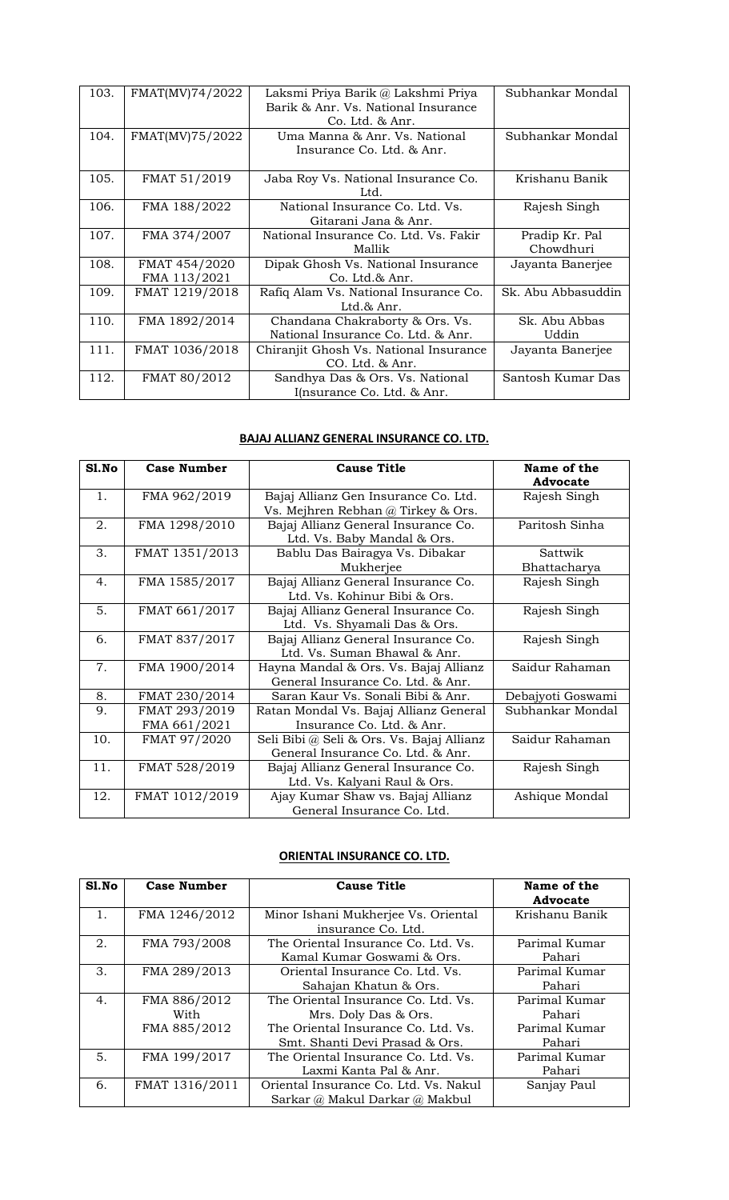| 103. | FMAT(MV)74/2022 | Laksmi Priya Barik @ Lakshmi Priya<br>Barik & Anr. Vs. National Insurance | Subhankar Mondal   |
|------|-----------------|---------------------------------------------------------------------------|--------------------|
|      |                 | Co. Ltd. & Anr.                                                           |                    |
| 104. | FMAT(MV)75/2022 | Uma Manna & Anr. Vs. National                                             | Subhankar Mondal   |
|      |                 | Insurance Co. Ltd. & Anr.                                                 |                    |
| 105. | FMAT 51/2019    | Jaba Roy Vs. National Insurance Co.                                       | Krishanu Banik     |
|      |                 | Ltd.                                                                      |                    |
| 106. | FMA 188/2022    | National Insurance Co. Ltd. Vs.                                           | Rajesh Singh       |
|      |                 | Gitarani Jana & Anr.                                                      |                    |
| 107. | FMA 374/2007    | National Insurance Co. Ltd. Vs. Fakir                                     | Pradip Kr. Pal     |
|      |                 | Mallik                                                                    | Chowdhuri          |
| 108. | FMAT 454/2020   | Dipak Ghosh Vs. National Insurance                                        | Jayanta Banerjee   |
|      | FMA 113/2021    | Co. Ltd.& Anr.                                                            |                    |
| 109. | FMAT 1219/2018  | Rafiq Alam Vs. National Insurance Co.                                     | Sk. Abu Abbasuddin |
|      |                 | Ltd. $\&$ Anr.                                                            |                    |
| 110. | FMA 1892/2014   | Chandana Chakraborty & Ors. Vs.                                           | Sk. Abu Abbas      |
|      |                 | National Insurance Co. Ltd. & Anr.                                        | Uddin              |
| 111. | FMAT 1036/2018  | Chiranjit Ghosh Vs. National Insurance                                    | Jayanta Banerjee   |
|      |                 | CO. Ltd. & Anr.                                                           |                    |
| 112. | FMAT 80/2012    | Sandhya Das & Ors. Vs. National                                           | Santosh Kumar Das  |
|      |                 | I(nsurance Co. Ltd. & Anr.                                                |                    |

## **BAJAJ ALLIANZ GENERAL INSURANCE CO. LTD.**

| S1.No | <b>Case Number</b>            | <b>Cause Title</b>                                                             | Name of the<br><b>Advocate</b> |
|-------|-------------------------------|--------------------------------------------------------------------------------|--------------------------------|
| 1.    | FMA 962/2019                  | Bajaj Allianz Gen Insurance Co. Ltd.<br>Vs. Mejhren Rebhan @ Tirkey & Ors.     | Rajesh Singh                   |
| 2.    | FMA 1298/2010                 | Bajaj Allianz General Insurance Co.<br>Ltd. Vs. Baby Mandal & Ors.             | Paritosh Sinha                 |
| 3.    | FMAT 1351/2013                | Bablu Das Bairagya Vs. Dibakar<br>Mukherjee                                    | Sattwik<br>Bhattacharya        |
| 4.    | FMA 1585/2017                 | Bajaj Allianz General Insurance Co.<br>Ltd. Vs. Kohinur Bibi & Ors.            | Rajesh Singh                   |
| 5.    | FMAT 661/2017                 | Bajaj Allianz General Insurance Co.<br>Ltd. Vs. Shyamali Das & Ors.            | Rajesh Singh                   |
| 6.    | FMAT 837/2017                 | Bajaj Allianz General Insurance Co.<br>Ltd. Vs. Suman Bhawal & Anr.            | Rajesh Singh                   |
| 7.    | FMA 1900/2014                 | Hayna Mandal & Ors. Vs. Bajaj Allianz<br>General Insurance Co. Ltd. & Anr.     | Saidur Rahaman                 |
| 8.    | FMAT 230/2014                 | Saran Kaur Vs. Sonali Bibi & Anr.                                              | Debajyoti Goswami              |
| 9.    | FMAT 293/2019<br>FMA 661/2021 | Ratan Mondal Vs. Bajaj Allianz General<br>Insurance Co. Ltd. & Anr.            | Subhankar Mondal               |
| 10.   | FMAT 97/2020                  | Seli Bibi @ Seli & Ors. Vs. Bajaj Allianz<br>General Insurance Co. Ltd. & Anr. | Saidur Rahaman                 |
| 11.   | FMAT 528/2019                 | Bajaj Allianz General Insurance Co.<br>Ltd. Vs. Kalyani Raul & Ors.            | Rajesh Singh                   |
| 12.   | FMAT 1012/2019                | Ajay Kumar Shaw vs. Bajaj Allianz<br>General Insurance Co. Ltd.                | Ashique Mondal                 |

## **ORIENTAL INSURANCE CO. LTD.**

| S1.No | <b>Case Number</b> | <b>Cause Title</b>                    | Name of the<br>Advocate |
|-------|--------------------|---------------------------------------|-------------------------|
| 1.    | FMA 1246/2012      | Minor Ishani Mukherjee Vs. Oriental   | Krishanu Banik          |
|       |                    | insurance Co. Ltd.                    |                         |
| 2.    | FMA 793/2008       | The Oriental Insurance Co. Ltd. Vs.   | Parimal Kumar           |
|       |                    | Kamal Kumar Goswami & Ors.            | Pahari                  |
| 3.    | FMA 289/2013       | Oriental Insurance Co. Ltd. Vs.       | Parimal Kumar           |
|       |                    | Sahajan Khatun & Ors.                 | Pahari                  |
| 4.    | FMA 886/2012       | The Oriental Insurance Co. Ltd. Vs.   | Parimal Kumar           |
|       | With               | Mrs. Doly Das & Ors.                  | Pahari                  |
|       | FMA 885/2012       | The Oriental Insurance Co. Ltd. Vs.   | Parimal Kumar           |
|       |                    | Smt. Shanti Devi Prasad & Ors.        | Pahari                  |
| 5.    | FMA 199/2017       | The Oriental Insurance Co. Ltd. Vs.   | Parimal Kumar           |
|       |                    | Laxmi Kanta Pal & Anr.                | Pahari                  |
| 6.    | FMAT 1316/2011     | Oriental Insurance Co. Ltd. Vs. Nakul | Sanjay Paul             |
|       |                    | Sarkar @ Makul Darkar @ Makbul        |                         |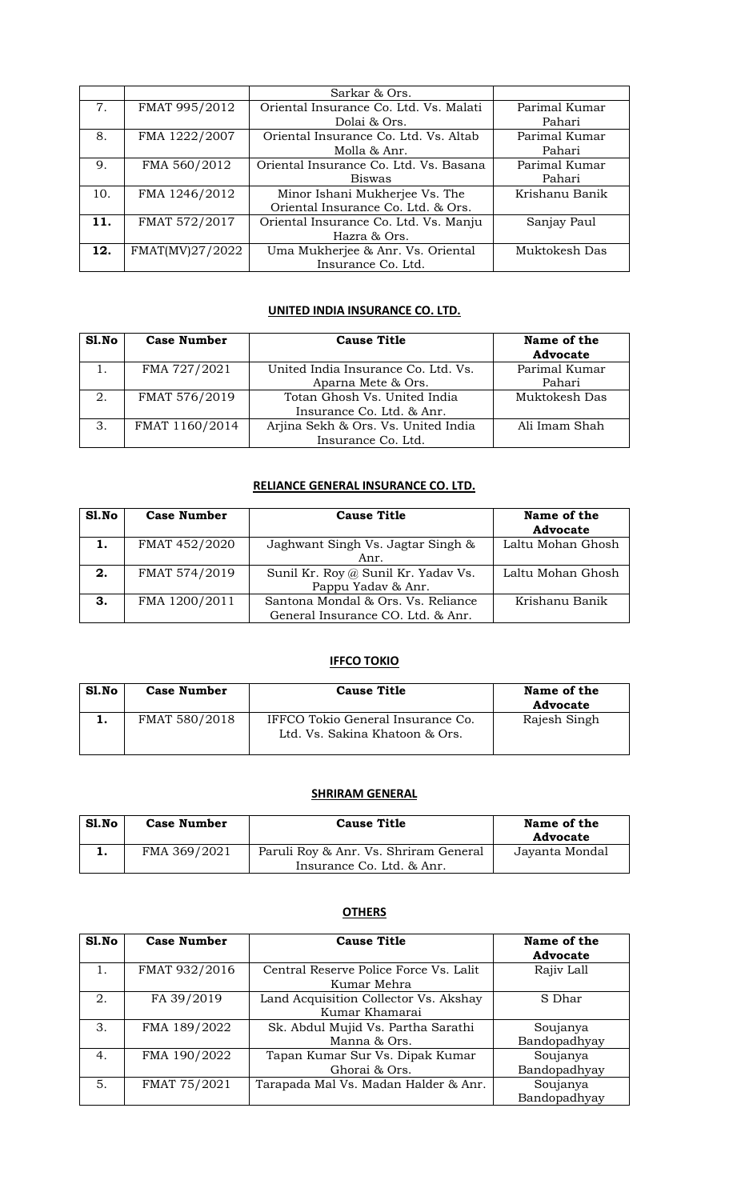|     |                 | Sarkar & Ors.                          |                |
|-----|-----------------|----------------------------------------|----------------|
| 7.  | FMAT 995/2012   | Oriental Insurance Co. Ltd. Vs. Malati | Parimal Kumar  |
|     |                 | Dolai & Ors.                           | Pahari         |
| 8.  | FMA 1222/2007   | Oriental Insurance Co. Ltd. Vs. Altab  | Parimal Kumar  |
|     |                 | Molla & Anr.                           | Pahari         |
| 9.  | FMA 560/2012    | Oriental Insurance Co. Ltd. Vs. Basana | Parimal Kumar  |
|     |                 | <b>Biswas</b>                          | Pahari         |
| 10. | FMA 1246/2012   | Minor Ishani Mukherjee Vs. The         | Krishanu Banik |
|     |                 | Oriental Insurance Co. Ltd. & Ors.     |                |
| 11. | FMAT 572/2017   | Oriental Insurance Co. Ltd. Vs. Manju  | Sanjay Paul    |
|     |                 | Hazra & Ors.                           |                |
| 12. | FMAT(MV)27/2022 | Uma Mukherjee & Anr. Vs. Oriental      | Muktokesh Das  |
|     |                 | Insurance Co. Ltd.                     |                |

## **UNITED INDIA INSURANCE CO. LTD.**

| S1.No | <b>Case Number</b> | <b>Cause Title</b>                  | Name of the<br><b>Advocate</b> |
|-------|--------------------|-------------------------------------|--------------------------------|
|       | FMA 727/2021       | United India Insurance Co. Ltd. Vs. | Parimal Kumar                  |
|       |                    | Aparna Mete & Ors.                  | Pahari                         |
| 2.    | FMAT 576/2019      | Totan Ghosh Vs. United India        | Muktokesh Das                  |
|       |                    | Insurance Co. Ltd. & Anr.           |                                |
| 3.    | FMAT 1160/2014     | Arjina Sekh & Ors. Vs. United India | Ali Imam Shah                  |
|       |                    | Insurance Co. Ltd.                  |                                |

## **RELIANCE GENERAL INSURANCE CO. LTD.**

| Sl.No | <b>Case Number</b> | <b>Cause Title</b>                  | Name of the<br><b>Advocate</b> |
|-------|--------------------|-------------------------------------|--------------------------------|
| 1.    | FMAT 452/2020      | Jaghwant Singh Vs. Jagtar Singh &   | Laltu Mohan Ghosh              |
|       |                    | Anr.                                |                                |
| 2.    | FMAT 574/2019      | Sunil Kr. Roy @ Sunil Kr. Yadav Vs. | Laltu Mohan Ghosh              |
|       |                    | Pappu Yadav & Anr.                  |                                |
| З.    | FMA 1200/2011      | Santona Mondal & Ors. Vs. Reliance  | Krishanu Banik                 |
|       |                    | General Insurance CO. Ltd. & Anr.   |                                |

#### **IFFCO TOKIO**

| Sl.No | <b>Case Number</b> | <b>Cause Title</b>                                                  | Name of the<br><b>Advocate</b> |
|-------|--------------------|---------------------------------------------------------------------|--------------------------------|
| ı.    | FMAT 580/2018      | IFFCO Tokio General Insurance Co.<br>Ltd. Vs. Sakina Khatoon & Ors. | Rajesh Singh                   |

## **SHRIRAM GENERAL**

| Sl.No | <b>Case Number</b> | <b>Cause Title</b>                                                 | Name of the<br>Advocate |
|-------|--------------------|--------------------------------------------------------------------|-------------------------|
|       | FMA 369/2021       | Paruli Roy & Anr. Vs. Shriram General<br>Insurance Co. Ltd. & Anr. | Jayanta Mondal          |

| S1. No | <b>Case Number</b> | <b>Cause Title</b>                                      | Name of the<br><b>Advocate</b> |
|--------|--------------------|---------------------------------------------------------|--------------------------------|
|        | FMAT 932/2016      | Central Reserve Police Force Vs. Lalit<br>Kumar Mehra   | Rajiv Lall                     |
| 2.     | FA 39/2019         | Land Acquisition Collector Vs. Akshay<br>Kumar Khamarai | S Dhar                         |
| 3.     | FMA 189/2022       | Sk. Abdul Mujid Vs. Partha Sarathi<br>Manna & Ors.      | Soujanya<br>Bandopadhyay       |
| 4.     | FMA 190/2022       | Tapan Kumar Sur Vs. Dipak Kumar<br>Ghorai & Ors.        | Soujanya<br>Bandopadhyay       |
| 5.     | FMAT 75/2021       | Tarapada Mal Vs. Madan Halder & Anr.                    | Soujanya<br>Bandopadhyay       |

#### **OTHERS**